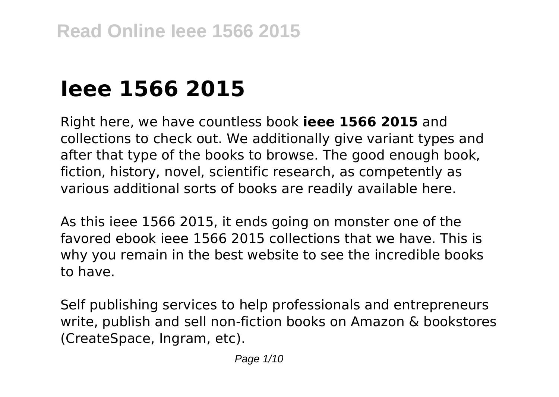# **Ieee 1566 2015**

Right here, we have countless book **ieee 1566 2015** and collections to check out. We additionally give variant types and after that type of the books to browse. The good enough book, fiction, history, novel, scientific research, as competently as various additional sorts of books are readily available here.

As this ieee 1566 2015, it ends going on monster one of the favored ebook ieee 1566 2015 collections that we have. This is why you remain in the best website to see the incredible books to have.

Self publishing services to help professionals and entrepreneurs write, publish and sell non-fiction books on Amazon & bookstores (CreateSpace, Ingram, etc).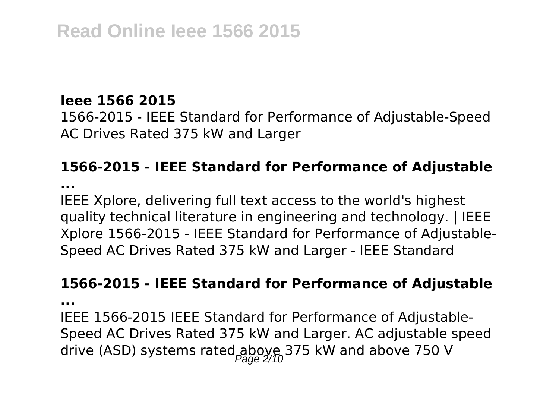## **Ieee 1566 2015**

1566-2015 - IEEE Standard for Performance of Adjustable-Speed AC Drives Rated 375 kW and Larger

# **1566-2015 - IEEE Standard for Performance of Adjustable**

**...**

IEEE Xplore, delivering full text access to the world's highest quality technical literature in engineering and technology. | IEEE Xplore 1566-2015 - IEEE Standard for Performance of Adjustable-Speed AC Drives Rated 375 kW and Larger - IEEE Standard

#### **1566-2015 - IEEE Standard for Performance of Adjustable**

**...**

IEEE 1566-2015 IEEE Standard for Performance of Adjustable-Speed AC Drives Rated 375 kW and Larger. AC adjustable speed drive (ASD) systems rated above  $750$  V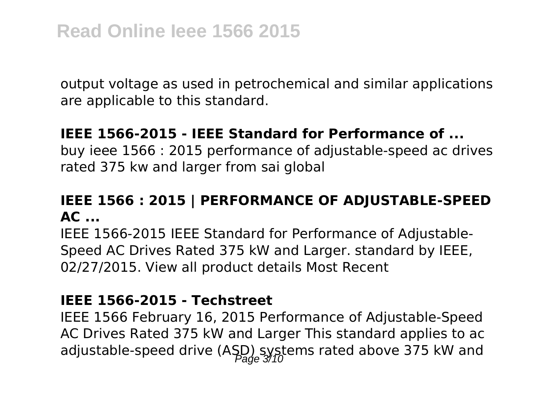output voltage as used in petrochemical and similar applications are applicable to this standard.

### **IEEE 1566-2015 - IEEE Standard for Performance of ...**

buy ieee 1566 : 2015 performance of adjustable-speed ac drives rated 375 kw and larger from sai global

# **IEEE 1566 : 2015 | PERFORMANCE OF ADJUSTABLE-SPEED AC ...**

IEEE 1566-2015 IEEE Standard for Performance of Adjustable-Speed AC Drives Rated 375 kW and Larger. standard by IEEE, 02/27/2015. View all product details Most Recent

#### **IEEE 1566-2015 - Techstreet**

IEEE 1566 February 16, 2015 Performance of Adjustable-Speed AC Drives Rated 375 kW and Larger This standard applies to ac adjustable-speed drive (ASD) systems rated above 375 kW and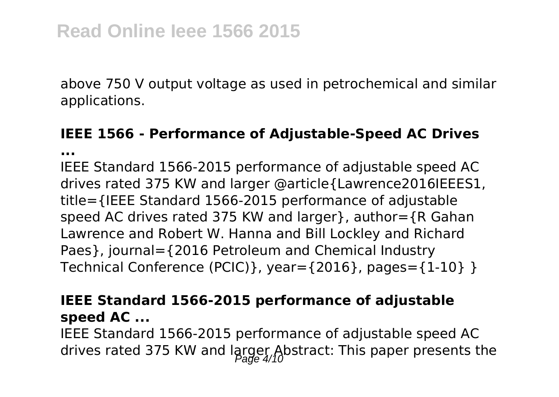above 750 V output voltage as used in petrochemical and similar applications.

# **IEEE 1566 - Performance of Adjustable-Speed AC Drives**

**...**

IEEE Standard 1566-2015 performance of adjustable speed AC drives rated 375 KW and larger @article{Lawrence2016IEEES1, title={IEEE Standard 1566-2015 performance of adjustable speed AC drives rated 375 KW and larger}, author={R Gahan Lawrence and Robert W. Hanna and Bill Lockley and Richard Paes}, journal={2016 Petroleum and Chemical Industry Technical Conference (PCIC)}, year={2016}, pages={1-10} }

# **IEEE Standard 1566-2015 performance of adjustable speed AC ...**

IEEE Standard 1566-2015 performance of adjustable speed AC drives rated 375 KW and larger Abstract: This paper presents the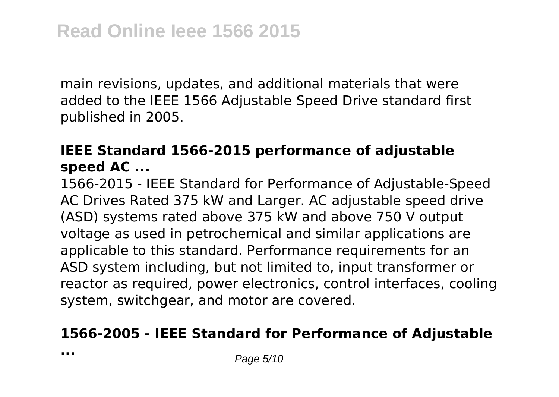main revisions, updates, and additional materials that were added to the IEEE 1566 Adjustable Speed Drive standard first published in 2005.

# **IEEE Standard 1566-2015 performance of adjustable speed AC ...**

1566-2015 - IEEE Standard for Performance of Adjustable-Speed AC Drives Rated 375 kW and Larger. AC adjustable speed drive (ASD) systems rated above 375 kW and above 750 V output voltage as used in petrochemical and similar applications are applicable to this standard. Performance requirements for an ASD system including, but not limited to, input transformer or reactor as required, power electronics, control interfaces, cooling system, switchgear, and motor are covered.

#### **1566-2005 - IEEE Standard for Performance of Adjustable**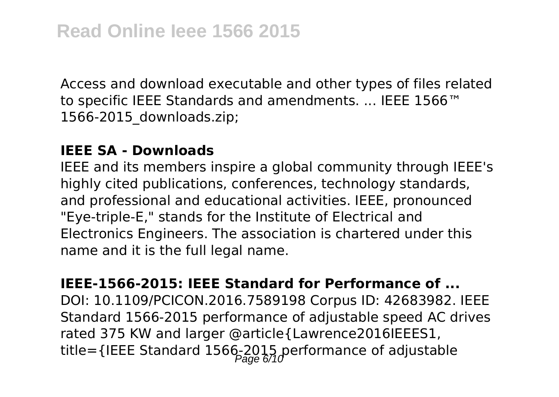Access and download executable and other types of files related to specific IEEE Standards and amendments. ... IEEE 1566™ 1566-2015\_downloads.zip;

#### **IEEE SA - Downloads**

IEEE and its members inspire a global community through IEEE's highly cited publications, conferences, technology standards, and professional and educational activities. IEEE, pronounced "Eye-triple-E," stands for the Institute of Electrical and Electronics Engineers. The association is chartered under this name and it is the full legal name.

**IEEE-1566-2015: IEEE Standard for Performance of ...** DOI: 10.1109/PCICON.2016.7589198 Corpus ID: 42683982. IEEE Standard 1566-2015 performance of adjustable speed AC drives rated 375 KW and larger @article{Lawrence2016IEEES1, title={IEEE Standard 1566-2015 performance of adjustable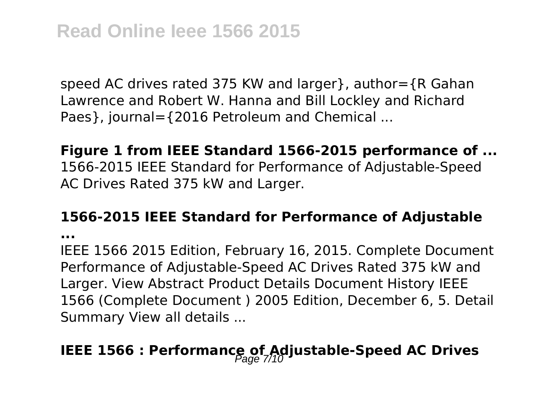speed AC drives rated 375 KW and larger}, author={R Gahan Lawrence and Robert W. Hanna and Bill Lockley and Richard Paes}, journal={2016 Petroleum and Chemical ...

## **Figure 1 from IEEE Standard 1566-2015 performance of ...** 1566-2015 IEEE Standard for Performance of Adjustable-Speed AC Drives Rated 375 kW and Larger.

#### **1566-2015 IEEE Standard for Performance of Adjustable**

**...**

IEEE 1566 2015 Edition, February 16, 2015. Complete Document Performance of Adjustable-Speed AC Drives Rated 375 kW and Larger. View Abstract Product Details Document History IEEE 1566 (Complete Document ) 2005 Edition, December 6, 5. Detail Summary View all details ...

# **IEEE 1566 : Performance of Adjustable-Speed AC Drives**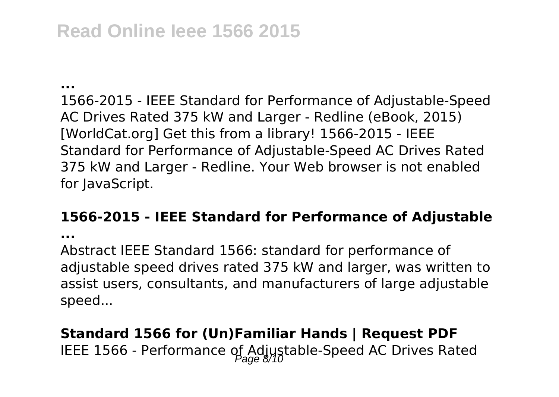# **Read Online Ieee 1566 2015**

**...**

1566-2015 - IEEE Standard for Performance of Adjustable-Speed AC Drives Rated 375 kW and Larger - Redline (eBook, 2015) [WorldCat.org] Get this from a library! 1566-2015 - IEEE Standard for Performance of Adjustable-Speed AC Drives Rated 375 kW and Larger - Redline. Your Web browser is not enabled for JavaScript.

#### **1566-2015 - IEEE Standard for Performance of Adjustable**

**...**

Abstract IEEE Standard 1566: standard for performance of adjustable speed drives rated 375 kW and larger, was written to assist users, consultants, and manufacturers of large adjustable speed...

# **Standard 1566 for (Un)Familiar Hands | Request PDF** IEEE 1566 - Performance of Adjustable-Speed AC Drives Rated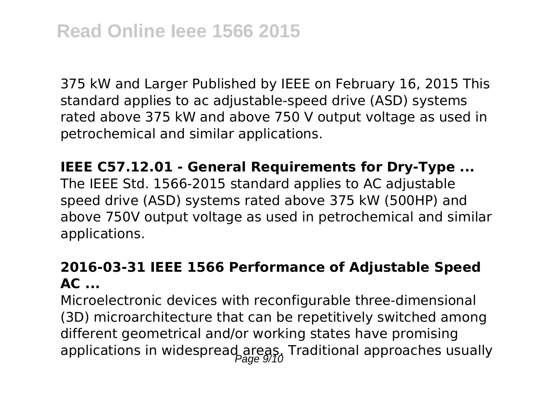375 kW and Larger Published by IEEE on February 16, 2015 This standard applies to ac adjustable-speed drive (ASD) systems rated above 375 kW and above 750 V output voltage as used in petrochemical and similar applications.

**IEEE C57.12.01 - General Requirements for Dry-Type ...**

The IEEE Std. 1566-2015 standard applies to AC adjustable speed drive (ASD) systems rated above 375 kW (500HP) and above 750V output voltage as used in petrochemical and similar applications.

# **2016-03-31 IEEE 1566 Performance of Adjustable Speed AC ...**

Microelectronic devices with reconfigurable three-dimensional (3D) microarchitecture that can be repetitively switched among different geometrical and/or working states have promising applications in widespread areas. Traditional approaches usually